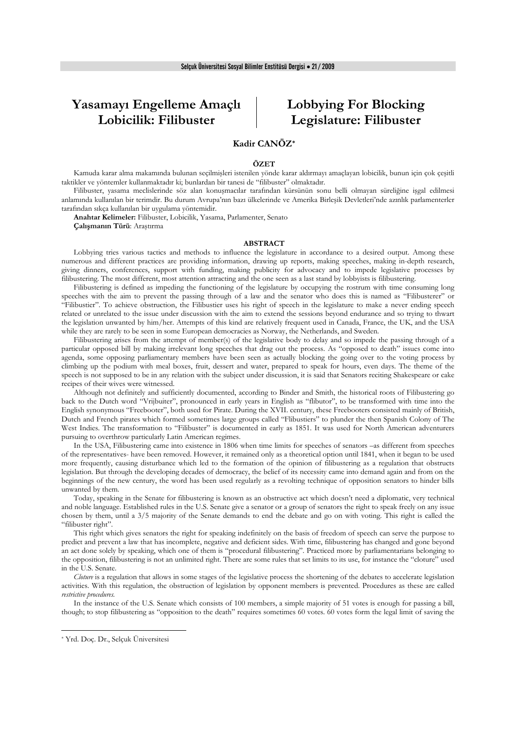# **Yasamayı Engelleme Amaçlı Lobicilik: Filibuster**

# **Lobbying For Blocking Legislature: Filibuster**

# **Kadir CANÖZ\***

#### **ÖZET**

Kamuda karar alma makamında bulunan seçilmişleri istenilen yönde karar aldırmayı amaçlayan lobicilik, bunun için çok çeşitli taktikler ve yöntemler kullanmaktadır ki; bunlardan bir tanesi de "filibuster" olmaktadır.

Filibuster, yasama meclislerinde söz alan konuşmacılar tarafından kürsünün sonu belli olmayan süreliğine işgal edilmesi anlamında kullanılan bir terimdir. Bu durum Avrupa'nın bazı ülkelerinde ve Amerika Birleşik Devletleri'nde azınlık parlamenterler tarafından sıkça kullanılan bir uygulama yöntemidir.

**Anahtar Kelimeler:** Filibuster, Lobicilik, Yasama, Parlamenter, Senato **Çalışmanın Türü**: Araştırma

#### **ABSTRACT**

Lobbying tries various tactics and methods to influence the legislature in accordance to a desired output. Among these numerous and different practices are providing information, drawing up reports, making speeches, making in-depth research, giving dinners, conferences, support with funding, making publicity for advocacy and to impede legislative processes by filibustering. The most different, most attention attracting and the one seen as a last stand by lobbyists is filibustering.

Filibustering is defined as impeding the functioning of the legislature by occupying the rostrum with time consuming long speeches with the aim to prevent the passing through of a law and the senator who does this is named as "Filibusterer" or "Filibustier". To achieve obstruction, the Filibustier uses his right of speech in the legislature to make a never ending speech related or unrelated to the issue under discussion with the aim to extend the sessions beyond endurance and so trying to thwart the legislation unwanted by him/her. Attempts of this kind are relatively frequent used in Canada, France, the UK, and the USA while they are rarely to be seen in some European democracies as Norway, the Netherlands, and Sweden.

Filibustering arises from the attempt of member(s) of the legislative body to delay and so impede the passing through of a particular opposed bill by making irrelevant long speeches that drag out the process. As "opposed to death" issues come into agenda, some opposing parliamentary members have been seen as actually blocking the going over to the voting process by climbing up the podium with meal boxes, fruit, dessert and water, prepared to speak for hours, even days. The theme of the speech is not supposed to be in any relation with the subject under discussion, it is said that Senators reciting Shakespeare or cake recipes of their wives were witnessed.

Although not definitely and sufficiently documented, according to Binder and Smith, the historical roots of Filibustering go back to the Dutch word "Vrijbuiter", pronounced in early years in English as "flibutor", to be transformed with time into the English synonymous "Freebooter", both used for Pirate. During the XVII. century, these Freebooters consisted mainly of British, Dutch and French pirates which formed sometimes large groups called "Flibustiers" to plunder the then Spanish Colony of The West Indies. The transformation to "Filibuster" is documented in early as 1851. It was used for North American adventurers pursuing to overthrow particularly Latin American regimes.

In the USA, Filibustering came into existence in 1806 when time limits for speeches of senators –as different from speeches of the representatives- have been removed. However, it remained only as a theoretical option until 1841, when it began to be used more frequently, causing disturbance which led to the formation of the opinion of filibustering as a regulation that obstructs legislation. But through the developing decades of democracy, the belief of its necessity came into demand again and from on the beginnings of the new century, the word has been used regularly as a revolting technique of opposition senators to hinder bills unwanted by them.

Today, speaking in the Senate for filibustering is known as an obstructive act which doesn't need a diplomatic, very technical and noble language. Established rules in the U.S. Senate give a senator or a group of senators the right to speak freely on any issue chosen by them, until a 3/5 majority of the Senate demands to end the debate and go on with voting. This right is called the "filibuster right".

This right which gives senators the right for speaking indefinitely on the basis of freedom of speech can serve the purpose to predict and prevent a law that has incomplete, negative and deficient sides. With time, filibustering has changed and gone beyond an act done solely by speaking, which one of them is "procedural filibustering". Practiced more by parliamentarians belonging to the opposition, filibustering is not an unlimited right. There are some rules that set limits to its use, for instance the "cloture" used in the U.S. Senate.

*Cloture* is a regulation that allows in some stages of the legislative process the shortening of the debates to accelerate legislation activities. With this regulation, the obstruction of legislation by opponent members is prevented. Procedures as these are called *restrictive procedures.*

In the instance of the U.S. Senate which consists of 100 members, a simple majority of 51 votes is enough for passing a bill, though; to stop filibustering as "opposition to the death" requires sometimes 60 votes. 60 votes form the legal limit of saving the

1

<sup>\*</sup> Yrd. Doç. Dr., Selçuk Üniversitesi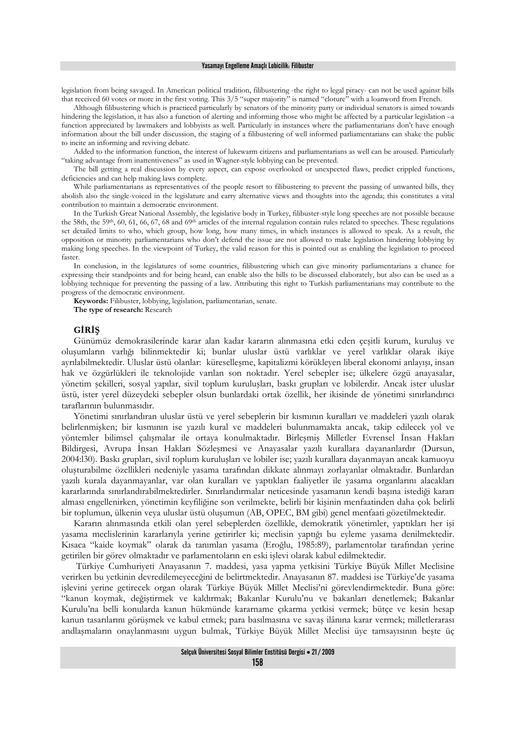legislation from being savaged. In American political tradition, filibustering -the right to legal piracy- can not be used against bills that received 60 votes or more in the first voting. This 3/5 "super majority" is named "cloture" with a loanword from French.

Although filibustering which is practiced particularly by senators of the minority party or individual senators is aimed towards hindering the legislation, it has also a function of alerting and informing those who might be affected by a particular legislation –a function appreciated by lawmakers and lobbyists as well. Particularly in instances where the parliamentarians don't have enough information about the bill under discussion, the staging of a filibustering of well informed parliamentarians can shake the public to incite an informing and reviving debate.

Added to the information function, the interest of lukewarm citizens and parliamentarians as well can be aroused. Particularly "taking advantage from inattentiveness" as used in Wagner-style lobbying can be prevented.

The bill getting a real discussion by every aspect, can expose overlooked or unexpected flaws, predict crippled functions, deficiencies and can help making laws complete.

While parliamentarians as representatives of the people resort to filibustering to prevent the passing of unwanted bills, they abolish also the single-voiced in the legislature and carry alternative views and thoughts into the agenda; this constitutes a vital contribution to maintain a democratic environment.

In the Turkish Great National Assembly, the legislative body in Turkey, filibuster-style long speeches are not possible because the 58th, the 59<sup>th</sup>, 60, 61, 66, 67, 68 and 69<sup>th</sup> articles of the internal regulation contain rules related to speeches. These regulations set detailed limits to who, which group, how long, how many times, in which instances is allowed to speak. As a result, the opposition or minority parliamentarians who don't defend the issue are not allowed to make legislation hindering lobbying by making long speeches. In the viewpoint of Turkey, the valid reason for this is pointed out as enabling the legislation to proceed faster.

In conclusion, in the legislatures of some countries, filibustering which can give minority parliamentarians a chance for expressing their standpoints and for being heard, can enable also the bills to be discussed elaborately, but also can be used as a lobbying technique for preventing the passing of a law. Attributing this right to Turkish parliamentarians may contribute to the progress of the democratic environment.

**Keywords:** Filibuster, lobbying, legislation, parliamentarian, senate.

**The type of research:** Research

### **GİRİŞ**

Günümüz demokrasilerinde karar alan kadar kararın alınmasına etki eden çeşitli kurum, kuruluş ve oluşumların varlığı bilinmektedir ki; bunlar uluslar üstü varlıklar ve yerel varlıklar olarak ikiye ayrılabilmektedir. Uluslar üstü olanlar: küreselleşme, kapitalizmi körükleyen liberal ekonomi anlayışı, insan hak ve özgürlükleri ile teknolojide varılan son noktadır. Yerel sebepler ise; ülkelere özgü anayasalar, yönetim şekilleri, sosyal yapılar, sivil toplum kuruluşları, baskı grupları ve lobilerdir. Ancak ister uluslar üstü, ister yerel düzeydeki sebepler olsun bunlardaki ortak özellik, her ikisinde de yönetimi sınırlandırıcı taraflarının bulunmasıdır.

Yönetimi sınırlandıran uluslar üstü ve yerel sebeplerin bir kısmının kuralları ve maddeleri yazılı olarak belirlenmişken; bir kısmının ise yazılı kural ve maddeleri bulunmamakta ancak, takip edilecek yol ve yöntemler bilimsel çalışmalar ile ortaya konulmaktadır. Birleşmiş Milletler Evrensel İnsan Hakları Bildirgesi, Avrupa İnsan Hakları Sözleşmesi ve Anayasalar yazılı kurallara dayananlardır (Dursun, 2004:l30). Baskı grupları, sivil toplum kuruluşları ve lobiler ise; yazılı kurallara dayanmayan ancak kamuoyu oluşturabilme özellikleri nedeniyle yasama tarafından dikkate alınmayı zorlayanlar olmaktadır. Bunlardan yazılı kurala dayanmayanlar, var olan kuralları ve yaptıkları faaliyetler ile yasama organlarını alacakları kararlarında sınırlandırabilmektedirler. Sınırlandırmalar neticesinde yasamanın kendi başına istediği kararı alması engellenirken, yönetimin keyfiliğine son verilmekte, belirli bir kişinin menfaatinden daha çok belirli bir toplumun, ülkenin veya uluslar üstü oluşumun (AB, OPEC, BM gibi) genel menfaati gözetilmektedir.

Kararın alınmasında etkili olan yerel sebeplerden özellikle, demokratik yönetimler, yaptıkları her işi yasama meclislerinin kararlarıyla yerine getirirler ki; meclisin yaptığı bu eyleme yasama denilmektedir. Kısaca "kaide koymak" olarak da tanımlan yasama (Eroğlu, 1985:89), parlamentolar tarafından yerine getirilen bir görev olmaktadır ve parlamentoların en eski işlevi olarak kabul edilmektedir.

 Türkiye Cumhuriyeti Anayasanın 7. maddesi, yasa yapma yetkisini Türkiye Büyük Millet Meclisine verirken bu yetkinin devredilemeyeceğini de belirtmektedir. Anayasanın 87. maddesi ise Türkiye'de yasama işlevini yerine getirecek organ olarak Türkiye Büyük Millet Meclisi'ni görevlendirmektedir. Buna göre: "kanun koymak, değiştirmek ve kaldırmak; Bakanlar Kurulu'nu ve bakanları denetlemek; Bakanlar Kurulu'na belli konularda kanun hükmünde kararname çıkarma yetkisi vermek; bütçe ve kesin hesap kanun tasarılarını görüşmek ve kabul etmek; para basılmasına ve savaş ilânına karar vermek; milletlerarası andlaşmaların onaylanmasını uygun bulmak, Türkiye Büyük Millet Meclisi üye tamsayısının beşte üç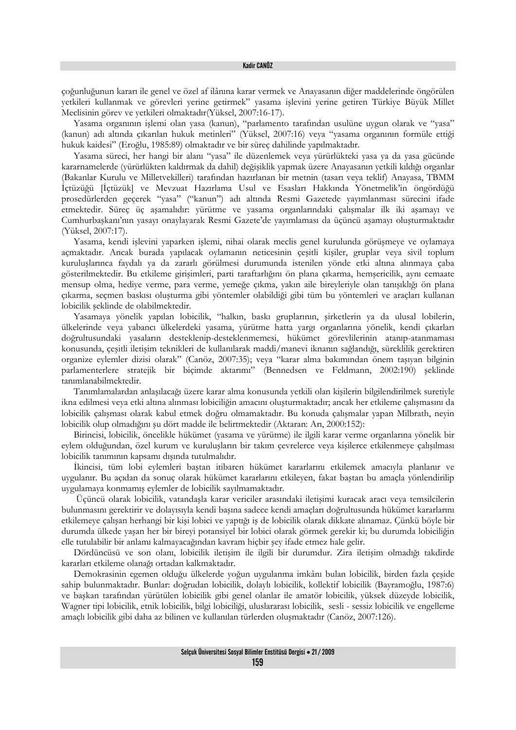çoğunluğunun kararı ile genel ve özel af ilânına karar vermek ve Anayasanın diğer maddelerinde öngörülen yetkileri kullanmak ve görevleri yerine getirmek" yasama işlevini yerine getiren Türkiye Büyük Millet Meclisinin görev ve yetkileri olmaktadır(Yüksel, 2007:16-17).

Yasama organının işlemi olan yasa (kanun), "parlamento tarafından usulüne uygun olarak ve "yasa" (kanun) adı altında çıkarılan hukuk metinleri" (Yüksel, 2007:16) veya "yasama organının formüle ettiği hukuk kaidesi" (Eroğlu, 1985:89) olmaktadır ve bir süreç dahilinde yapılmaktadır.

Yasama süreci, her hangi bir alanı "yasa" ile düzenlemek veya yürürlükteki yasa ya da yasa gücünde kararnamelerde (yürürlükten kaldırmak da dahil) değişiklik yapmak üzere Anayasanın yetkili kıldığı organlar (Bakanlar Kurulu ve Milletvekilleri) tarafından hazırlanan bir metnin (tasarı veya teklif) Anayasa, TBMM İçtüzüğü [İçtüzük] ve Mevzuat Hazırlama Usul ve Esasları Hakkında Yönetmelik'in öngördüğü prosedürlerden geçerek "yasa" ("kanun") adı altında Resmi Gazetede yayımlanması sürecini ifade etmektedir. Süreç üç aşamalıdır: yürütme ve yasama organlarındaki çalışmalar ilk iki aşamayı ve Cumhurbaşkanı'nın yasayı onaylayarak Resmi Gazete'de yayımlaması da üçüncü aşamayı oluşturmaktadır (Yüksel, 2007:17).

Yasama, kendi işlevini yaparken işlemi, nihai olarak meclis genel kurulunda görüşmeye ve oylamaya açmaktadır. Ancak burada yapılacak oylamanın neticesinin çeşitli kişiler, gruplar veya sivil toplum kuruluşlarınca faydalı ya da zararlı görülmesi durumunda istenilen yönde etki altına alınmaya çaba gösterilmektedir. Bu etkileme girişimleri, parti taraftarlığını ön plana çıkarma, hemşericilik, aynı cemaate mensup olma, hediye verme, para verme, yemeğe çıkma, yakın aile bireyleriyle olan tanışıklığı ön plana çıkarma, seçmen baskısı oluşturma gibi yöntemler olabildiği gibi tüm bu yöntemleri ve araçları kullanan lobicilik şeklinde de olabilmektedir.

Yasamaya yönelik yapılan lobicilik, "halkın, baskı gruplarının, şirketlerin ya da ulusal lobilerin, ülkelerinde veya yabancı ülkelerdeki yasama, yürütme hatta yargı organlarına yönelik, kendi çıkarları doğrultusundaki yasaların desteklenip-desteklenmemesi, hükümet görevlilerinin atanıp-atanmaması konusunda, çeşitli iletişim teknikleri de kullanılarak maddi/manevi iknanın sağlandığı, süreklilik gerektiren organize eylemler dizisi olarak" (Canöz, 2007:35); veya "karar alma bakımından önem taşıyan bilginin parlamenterlere stratejik bir biçimde aktarımı" (Bennedsen ve Feldmann, 2002:190) şeklinde tanımlanabilmektedir.

Tanımlamalardan anlaşılacağı üzere karar alma konusunda yetkili olan kişilerin bilgilendirilmek suretiyle ikna edilmesi veya etki altına alınması lobiciliğin amacını oluşturmaktadır; ancak her etkileme çalışmasını da lobicilik çalışması olarak kabul etmek doğru olmamaktadır. Bu konuda çalışmalar yapan Milbrath, neyin lobicilik olup olmadığını şu dört madde ile belirtmektedir (Aktaran: Arı, 2000:152):

Birincisi, lobicilik, öncelikle hükümet (yasama ve yürütme) ile ilgili karar verme organlarına yönelik bir eylem olduğundan, özel kurum ve kuruluşların bir takım çevrelerce veya kişilerce etkilenmeye çalışılması lobicilik tanımının kapsamı dışında tutulmalıdır.

İkincisi, tüm lobi eylemleri baştan itibaren hükümet kararlarını etkilemek amacıyla planlanır ve uygulanır. Bu açıdan da sonuç olarak hükümet kararlarını etkileyen, fakat baştan bu amaçla yönlendirilip uygulamaya konmamış eylemler de lobicilik sayılmamaktadır.

 Üçüncü olarak lobicilik, vatandaşla karar vericiler arasındaki iletişimi kuracak aracı veya temsilcilerin bulunmasını gerektirir ve dolayısıyla kendi başına sadece kendi amaçları doğrultusunda hükümet kararlarını etkilemeye çalışan herhangi bir kişi lobici ve yaptığı iş de lobicilik olarak dikkate alınamaz. Çünkü böyle bir durumda ülkede yaşan her bir bireyi potansiyel bir lobici olarak görmek gerekir ki; bu durumda lobiciliğin elle tutulabilir bir anlamı kalmayacağından kavram hiçbir şey ifade etmez hale gelir.

Dördüncüsü ve son olanı, lobicilik iletişim ile ilgili bir durumdur. Zira iletişim olmadığı takdirde kararları etkileme olanağı ortadan kalkmaktadır.

Demokrasinin egemen olduğu ülkelerde yoğun uygulanma imkânı bulan lobicilik, birden fazla çeşide sahip bulunmaktadır. Bunlar: doğrudan lobicilik, dolaylı lobicilik, kollektif lobicilik (Bayramoğlu, 1987:6) ve başkan tarafından yürütülen lobicilik gibi genel olanlar ile amatör lobicilik, yüksek düzeyde lobicilik, Wagner tipi lobicilik, etnik lobicilik, bilgi lobiciliği, uluslararası lobicilik, sesli - sessiz lobicilik ve engelleme amaçlı lobicilik gibi daha az bilinen ve kullanılan türlerden oluşmaktadır (Canöz, 2007:126).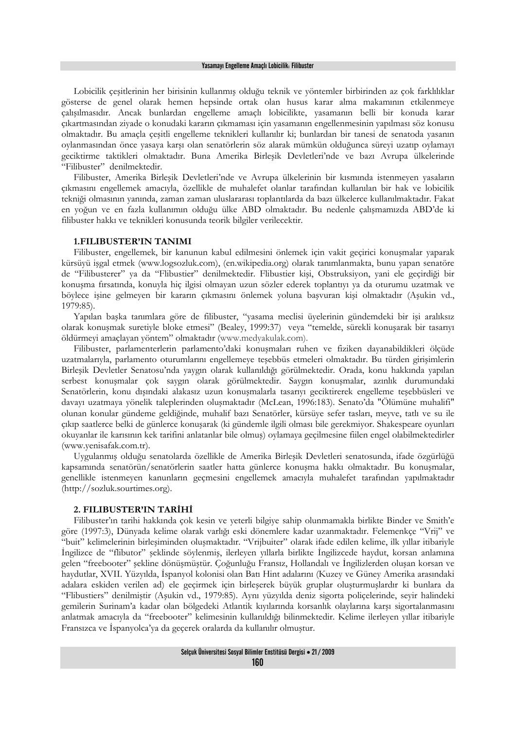#### Yasamayı Engelleme Amaçlı Lobicilik: Filibuster

Lobicilik çeşitlerinin her birisinin kullanmış olduğu teknik ve yöntemler birbirinden az çok farklılıklar gösterse de genel olarak hemen hepsinde ortak olan husus karar alma makamının etkilenmeye çalışılmasıdır. Ancak bunlardan engelleme amaçlı lobicilikte, yasamanın belli bir konuda karar çıkartmasından ziyade o konudaki kararın çıkmaması için yasamanın engellenmesinin yapılması söz konusu olmaktadır. Bu amaçla çeşitli engelleme teknikleri kullanılır ki; bunlardan bir tanesi de senatoda yasanın oylanmasından önce yasaya karşı olan senatörlerin söz alarak mümkün olduğunca süreyi uzatıp oylamayı geciktirme taktikleri olmaktadır. Buna Amerika Birleşik Devletleri'nde ve bazı Avrupa ülkelerinde "Filibuster" denilmektedir.

Filibuster, Amerika Birleşik Devletleri'nde ve Avrupa ülkelerinin bir kısmında istenmeyen yasaların çıkmasını engellemek amacıyla, özellikle de muhalefet olanlar tarafından kullanılan bir hak ve lobicilik tekniği olmasının yanında, zaman zaman uluslararası toplantılarda da bazı ülkelerce kullanılmaktadır. Fakat en yoğun ve en fazla kullanımın olduğu ülke ABD olmaktadır. Bu nedenle çalışmamızda ABD'de ki filibuster hakkı ve teknikleri konusunda teorik bilgiler verilecektir.

## **1.FILIBUSTER'IN TANIMI**

Filibuster, engellemek, bir kanunun kabul edilmesini önlemek için vakit geçirici konuşmalar yaparak kürsüyü işgal etmek (www.logsozluk.com), (en.wikipedia.org) olarak tanımlanmakta, bunu yapan senatöre de "Filibusterer" ya da "Flibustier" denilmektedir. Flibustier kişi, Obstruksiyon, yani ele geçirdiği bir konuşma fırsatında, konuyla hiç ilgisi olmayan uzun sözler ederek toplantıyı ya da oturumu uzatmak ve böylece işine gelmeyen bir kararın çıkmasını önlemek yoluna başvuran kişi olmaktadır (Aşukin vd., 1979:85).

Yapılan başka tanımlara göre de filibuster, "yasama meclisi üyelerinin gündemdeki bir işi aralıksız olarak konuşmak suretiyle bloke etmesi" (Bealey, 1999:37) veya "temelde, sürekli konuşarak bir tasarıyı öldürmeyi amaçlayan yöntem" olmaktadır (www.medyakulak.com).

Filibuster, parlamenterlerin parlamento'daki konuşmaları ruhen ve fiziken dayanabildikleri ölçüde uzatmalarıyla, parlamento oturumlarını engellemeye teşebbüs etmeleri olmaktadır. Bu türden girişimlerin Birleşik Devletler Senatosu'nda yaygın olarak kullanıldığı görülmektedir. Orada, konu hakkında yapılan serbest konuşmalar çok saygın olarak görülmektedir. Saygın konuşmalar, azınlık durumundaki Senatörlerin, konu dışındaki alakasız uzun konuşmalarla tasarıyı geciktirerek engelleme teşebbüsleri ve davayı uzatmaya yönelik taleplerinden oluşmaktadır (McLean, 1996:183). Senato'da "Ölümüne muhalifi" olunan konular gündeme geldiğinde, muhalif bazı Senatörler, kürsüye sefer tasları, meyve, tatlı ve su ile çıkıp saatlerce belki de günlerce konuşarak (ki gündemle ilgili olması bile gerekmiyor. Shakespeare oyunları okuyanlar ile karısının kek tarifini anlatanlar bile olmuş) oylamaya geçilmesine fiilen engel olabilmektedirler (www.yenisafak.com.tr).

Uygulanmış olduğu senatolarda özellikle de Amerika Birleşik Devletleri senatosunda, ifade özgürlüğü kapsamında senatörün/senatörlerin saatler hatta günlerce konuşma hakkı olmaktadır. Bu konuşmalar, genellikle istenmeyen kanunların geçmesini engellemek amacıyla muhalefet tarafından yapılmaktadır (http://sozluk.sourtimes.org).

## **2. FILIBUSTER'IN TARİHİ**

Filibuster'ın tarihi hakkında çok kesin ve yeterli bilgiye sahip olunmamakla birlikte Binder ve Smith'e göre (1997:3), Dünyada kelime olarak varlığı eski dönemlere kadar uzanmaktadır. Felemenkçe "Vrij" ve "buit" kelimelerinin birleşiminden oluşmaktadır. "Vrijbuiter" olarak ifade edilen kelime, ilk yıllar itibariyle İngilizce de "flibutor" şeklinde söylenmiş, ilerleyen yıllarla birlikte İngilizcede haydut, korsan anlamına gelen "freebooter" şekline dönüşmüştür. Çoğunluğu Fransız, Hollandalı ve İngilizlerden oluşan korsan ve haydutlar, XVII. Yüzyılda, İspanyol kolonisi olan Batı Hint adalarını (Kuzey ve Güney Amerika arasındaki adalara eskiden verilen ad) ele geçirmek için birleşerek büyük gruplar oluşturmuşlardır ki bunlara da "Flibustiers" denilmiştir (Aşukin vd., 1979:85). Aynı yüzyılda deniz sigorta poliçelerinde, seyir halindeki gemilerin Surinam'a kadar olan bölgedeki Atlantik kıyılarında korsanlık olaylarına karşı sigortalanmasını anlatmak amacıyla da "freebooter" kelimesinin kullanıldığı bilinmektedir. Kelime ilerleyen yıllar itibariyle Fransızca ve İspanyolca'ya da geçerek oralarda da kullanılır olmuştur.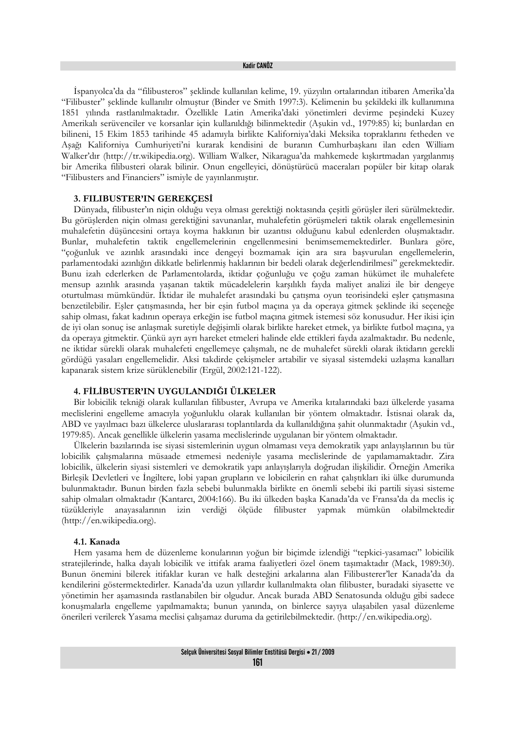#### Kadir CANÖZ

İspanyolca'da da "filibusteros" şeklinde kullanılan kelime, 19. yüzyılın ortalarından itibaren Amerika'da "Filibuster" şeklinde kullanılır olmuştur (Binder ve Smith 1997:3). Kelimenin bu şekildeki ilk kullanımına 1851 yılında rastlanılmaktadır. Özellikle Latin Amerika'daki yönetimleri devirme peşindeki Kuzey Amerikalı serüvenciler ve korsanlar için kullanıldığı bilinmektedir (Aşukin vd., 1979:85) ki; bunlardan en bilineni, 15 Ekim 1853 tarihinde 45 adamıyla birlikte Kaliforniya'daki Meksika topraklarını fetheden ve Aşağı Kaliforniya Cumhuriyeti'ni kurarak kendisini de buranın Cumhurbaşkanı ilan eden William Walker'dır (http://tr.wikipedia.org). William Walker, Nikaragua'da mahkemede kışkırtmadan yargılanmış bir Amerika filibusteri olarak bilinir. Onun engelleyici, dönüştürücü maceraları popüler bir kitap olarak "Filibusters and Financiers" ismiyle de yayınlanmıştır.

## **3. FILIBUSTER'IN GEREKÇESİ**

Dünyada, filibuster'ın niçin olduğu veya olması gerektiği noktasında çeşitli görüşler ileri sürülmektedir. Bu görüşlerden niçin olması gerektiğini savunanlar, muhalefetin görüşmeleri taktik olarak engellemesinin muhalefetin düşüncesini ortaya koyma hakkının bir uzantısı olduğunu kabul edenlerden oluşmaktadır. Bunlar, muhalefetin taktik engellemelerinin engellenmesini benimsememektedirler. Bunlara göre, "çoğunluk ve azınlık arasındaki ince dengeyi bozmamak için ara sıra başvurulan engellemelerin, parlamentodaki azınlığın dikkatle belirlenmiş haklarının bir bedeli olarak değerlendirilmesi" gerekmektedir. Bunu izah ederlerken de Parlamentolarda, iktidar çoğunluğu ve çoğu zaman hükümet ile muhalefete mensup azınlık arasında yaşanan taktik mücadelelerin karşılıklı fayda maliyet analizi ile bir dengeye oturtulması mümkündür. İktidar ile muhalefet arasındaki bu çatışma oyun teorisindeki eşler çatışmasına benzetilebilir. Eşler çatışmasında, her bir eşin futbol maçına ya da operaya gitmek şeklinde iki seçeneğe sahip olması, fakat kadının operaya erkeğin ise futbol maçına gitmek istemesi söz konusudur. Her ikisi için de iyi olan sonuç ise anlaşmak suretiyle değişimli olarak birlikte hareket etmek, ya birlikte futbol maçına, ya da operaya gitmektir. Çünkü ayrı ayrı hareket etmeleri halinde elde ettikleri fayda azalmaktadır. Bu nedenle, ne iktidar sürekli olarak muhalefeti engellemeye çalışmalı, ne de muhalefet sürekli olarak iktidarın gerekli gördüğü yasaları engellemelidir. Aksi takdirde çekişmeler artabilir ve siyasal sistemdeki uzlaşma kanalları kapanarak sistem krize sürüklenebilir (Ergül, 2002:121-122).

## **4. FİLİBUSTER'IN UYGULANDIĞI ÜLKELER**

Bir lobicilik tekniği olarak kullanılan filibuster, Avrupa ve Amerika kıtalarındaki bazı ülkelerde yasama meclislerini engelleme amacıyla yoğunluklu olarak kullanılan bir yöntem olmaktadır. İstisnai olarak da, ABD ve yayılmacı bazı ülkelerce uluslararası toplantılarda da kullanıldığına şahit olunmaktadır (Aşukin vd., 1979:85). Ancak genellikle ülkelerin yasama meclislerinde uygulanan bir yöntem olmaktadır.

Ülkelerin bazılarında ise siyasi sistemlerinin uygun olmaması veya demokratik yapı anlayışlarının bu tür lobicilik çalışmalarına müsaade etmemesi nedeniyle yasama meclislerinde de yapılamamaktadır. Zira lobicilik, ülkelerin siyasi sistemleri ve demokratik yapı anlayışlarıyla doğrudan ilişkilidir. Örneğin Amerika Birleşik Devletleri ve İngiltere, lobi yapan grupların ve lobicilerin en rahat çalıştıkları iki ülke durumunda bulunmaktadır. Bunun birden fazla sebebi bulunmakla birlikte en önemli sebebi iki partili siyasi sisteme sahip olmaları olmaktadır (Kantarcı, 2004:166). Bu iki ülkeden başka Kanada'da ve Fransa'da da meclis iç tüzükleriyle anayasalarının izin verdiği ölçüde filibuster yapmak mümkün olabilmektedir (http://en.wikipedia.org).

### **4.1. Kanada**

Hem yasama hem de düzenleme konularının yoğun bir biçimde izlendiği "tepkici-yasamacı" lobicilik stratejilerinde, halka dayalı lobicilik ve ittifak arama faaliyetleri özel önem taşımaktadır (Mack, 1989:30). Bunun önemini bilerek itifaklar kuran ve halk desteğini arkalarına alan Filibusterer'ler Kanada'da da kendilerini göstermektedirler. Kanada'da uzun yıllardır kullanılmakta olan filibuster, buradaki siyasette ve yönetimin her aşamasında rastlanabilen bir olgudur. Ancak burada ABD Senatosunda olduğu gibi sadece konuşmalarla engelleme yapılmamakta; bunun yanında, on binlerce sayıya ulaşabilen yasal düzenleme önerileri verilerek Yasama meclisi çalışamaz duruma da getirilebilmektedir. (http://en.wikipedia.org).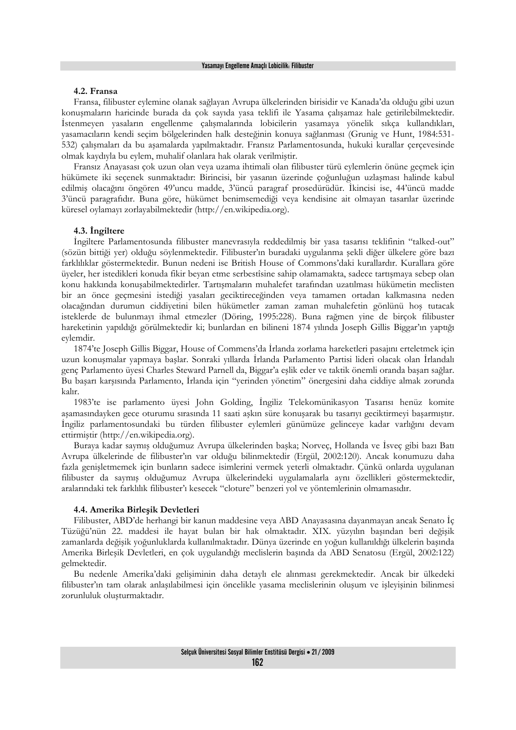## **4.2. Fransa**

Fransa, filibuster eylemine olanak sağlayan Avrupa ülkelerinden birisidir ve Kanada'da olduğu gibi uzun konuşmaların haricinde burada da çok sayıda yasa teklifi ile Yasama çalışamaz hale getirilebilmektedir. İstenmeyen yasaların engellenme çalışmalarında lobicilerin yasamaya yönelik sıkça kullandıkları, yasamacıların kendi seçim bölgelerinden halk desteğinin konuya sağlanması (Grunig ve Hunt, 1984:531- 532) çalışmaları da bu aşamalarda yapılmaktadır. Fransız Parlamentosunda, hukuki kurallar çerçevesinde olmak kaydıyla bu eylem, muhalif olanlara hak olarak verilmiştir.

Fransız Anayasası çok uzun olan veya uzama ihtimali olan filibuster türü eylemlerin önüne geçmek için hükümete iki seçenek sunmaktadır: Birincisi, bir yasanın üzerinde çoğunluğun uzlaşması halinde kabul edilmiş olacağını öngören 49'uncu madde, 3'üncü paragraf prosedürüdür. İkincisi ise, 44'üncü madde 3'üncü paragrafıdır. Buna göre, hükümet benimsemediği veya kendisine ait olmayan tasarılar üzerinde küresel oylamayı zorlayabilmektedir (http://en.wikipedia.org).

#### **4.3. İngiltere**

İngiltere Parlamentosunda filibuster manevrasıyla reddedilmiş bir yasa tasarısı teklifinin "talked-out" (sözün bittiği yer) olduğu söylenmektedir. Filibuster'ın buradaki uygulanma şekli diğer ülkelere göre bazı farklılıklar göstermektedir. Bunun nedeni ise British House of Commons'daki kurallardır. Kurallara göre üyeler, her istedikleri konuda fikir beyan etme serbestîsine sahip olamamakta, sadece tartışmaya sebep olan konu hakkında konuşabilmektedirler. Tartışmaların muhalefet tarafından uzatılması hükümetin meclisten bir an önce geçmesini istediği yasaları geciktireceğinden veya tamamen ortadan kalkmasına neden olacağından durumun ciddiyetini bilen hükümetler zaman zaman muhalefetin gönlünü hoş tutacak isteklerde de bulunmayı ihmal etmezler (Döring, 1995:228). Buna rağmen yine de birçok filibuster hareketinin yapıldığı görülmektedir ki; bunlardan en bilineni 1874 yılında Joseph Gillis Biggar'ın yaptığı eylemdir.

1874'te Joseph Gillis Biggar, House of Commens'da İrlanda zorlama hareketleri pasajını erteletmek için uzun konuşmalar yapmaya başlar. Sonraki yıllarda İrlanda Parlamento Partisi lideri olacak olan İrlandalı genç Parlamento üyesi Charles Steward Parnell da, Biggar'a eşlik eder ve taktik önemli oranda başarı sağlar. Bu başarı karşısında Parlamento, İrlanda için "yerinden yönetim" önergesini daha ciddiye almak zorunda kalır.

1983'te ise parlamento üyesi John Golding, İngiliz Telekomünikasyon Tasarısı henüz komite aşamasındayken gece oturumu sırasında 11 saati aşkın süre konuşarak bu tasarıyı geciktirmeyi başarmıştır. İngiliz parlamentosundaki bu türden filibuster eylemleri günümüze gelinceye kadar varlığını devam ettirmiştir (http://en.wikipedia.org).

Buraya kadar saymış olduğumuz Avrupa ülkelerinden başka; Norveç, Hollanda ve İsveç gibi bazı Batı Avrupa ülkelerinde de filibuster'ın var olduğu bilinmektedir (Ergül, 2002:120). Ancak konumuzu daha fazla genişletmemek için bunların sadece isimlerini vermek yeterli olmaktadır. Çünkü onlarda uygulanan filibuster da saymış olduğumuz Avrupa ülkelerindeki uygulamalarla aynı özellikleri göstermektedir, aralarındaki tek farklılık filibuster'ı kesecek "cloture" benzeri yol ve yöntemlerinin olmamasıdır.

#### **4.4. Amerika Birleşik Devletleri**

Filibuster, ABD'de herhangi bir kanun maddesine veya ABD Anayasasına dayanmayan ancak Senato İç Tüzüğü'nün 22. maddesi ile hayat bulan bir hak olmaktadır. XIX. yüzyılın başından beri değişik zamanlarda değişik yoğunluklarda kullanılmaktadır. Dünya üzerinde en yoğun kullanıldığı ülkelerin başında Amerika Birleşik Devletleri, en çok uygulandığı meclislerin başında da ABD Senatosu (Ergül, 2002:122) gelmektedir.

Bu nedenle Amerika'daki gelişiminin daha detaylı ele alınması gerekmektedir. Ancak bir ülkedeki filibuster'ın tam olarak anlaşılabilmesi için öncelikle yasama meclislerinin oluşum ve işleyişinin bilinmesi zorunluluk oluşturmaktadır.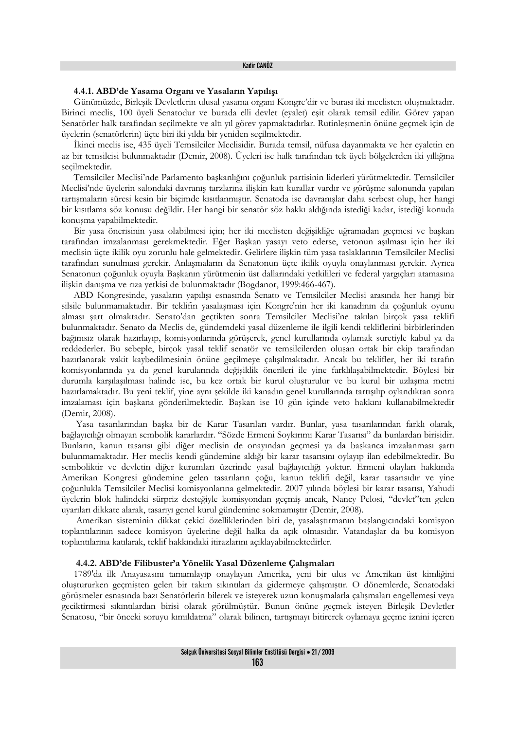## **4.4.1. ABD'de Yasama Organı ve Yasaların Yapılışı**

Günümüzde, Birleşik Devletlerin ulusal yasama organı Kongre'dir ve burası iki meclisten oluşmaktadır. Birinci meclis, 100 üyeli Senatodur ve burada elli devlet (eyalet) eşit olarak temsil edilir. Görev yapan Senatörler halk tarafından seçilmekte ve altı yıl görev yapmaktadırlar. Rutinleşmenin önüne geçmek için de üyelerin (senatörlerin) üçte biri iki yılda bir yeniden seçilmektedir.

İkinci meclis ise, 435 üyeli Temsilciler Meclisidir. Burada temsil, nüfusa dayanmakta ve her eyaletin en az bir temsilcisi bulunmaktadır (Demir, 2008). Üyeleri ise halk tarafından tek üyeli bölgelerden iki yıllığına seçilmektedir.

Temsilciler Meclisi'nde Parlamento başkanlığını çoğunluk partisinin liderleri yürütmektedir. Temsilciler Meclisi'nde üyelerin salondaki davranış tarzlarına ilişkin katı kurallar vardır ve görüşme salonunda yapılan tartışmaların süresi kesin bir biçimde kısıtlanmıştır. Senatoda ise davranışlar daha serbest olup, her hangi bir kısıtlama söz konusu değildir. Her hangi bir senatör söz hakkı aldığında istediği kadar, istediği konuda konuşma yapabilmektedir.

Bir yasa önerisinin yasa olabilmesi için; her iki meclisten değişikliğe uğramadan geçmesi ve başkan tarafından imzalanması gerekmektedir. Eğer Başkan yasayı veto ederse, vetonun aşılması için her iki meclisin üçte ikilik oyu zorunlu hale gelmektedir. Gelirlere ilişkin tüm yasa taslaklarının Temsilciler Meclisi tarafından sunulması gerekir. Anlaşmaların da Senatonun üçte ikilik oyuyla onaylanması gerekir. Ayrıca Senatonun çoğunluk oyuyla Başkanın yürütmenin üst dallarındaki yetkilileri ve federal yargıçları atamasına ilişkin danışma ve rıza yetkisi de bulunmaktadır (Bogdanor, 1999:466-467).

ABD Kongresinde, yasaların yapılışı esnasında Senato ve Temsilciler Meclisi arasında her hangi bir silsile bulunmamaktadır. Bir teklifin yasalaşması için Kongre'nin her iki kanadının da çoğunluk oyunu alması şart olmaktadır. Senato'dan geçtikten sonra Temsilciler Meclisi'ne takılan birçok yasa teklifi bulunmaktadır. Senato da Meclis de, gündemdeki yasal düzenleme ile ilgili kendi tekliflerini birbirlerinden bağımsız olarak hazırlayıp, komisyonlarında görüşerek, genel kurullarında oylamak suretiyle kabul ya da reddederler. Bu sebeple, birçok yasal teklif senatör ve temsilcilerden oluşan ortak bir ekip tarafından hazırlanarak vakit kaybedilmesinin önüne geçilmeye çalışılmaktadır. Ancak bu teklifler, her iki tarafın komisyonlarında ya da genel kurularında değişiklik önerileri ile yine farklılaşabilmektedir. Böylesi bir durumla karşılaşılması halinde ise, bu kez ortak bir kurul oluşturulur ve bu kurul bir uzlaşma metni hazırlamaktadır. Bu yeni teklif, yine aynı şekilde iki kanadın genel kurullarında tartışılıp oylandıktan sonra imzalaması için başkana gönderilmektedir. Başkan ise 10 gün içinde veto hakkını kullanabilmektedir (Demir, 2008).

 Yasa tasarılarından başka bir de Karar Tasarıları vardır. Bunlar, yasa tasarılarından farklı olarak, bağlayıcılığı olmayan sembolik kararlardır. "Sözde Ermeni Soykırımı Karar Tasarısı" da bunlardan birisidir. Bunların, kanun tasarısı gibi diğer meclisin de onayından geçmesi ya da başkanca imzalanması şartı bulunmamaktadır. Her meclis kendi gündemine aldığı bir karar tasarısını oylayıp ilan edebilmektedir. Bu semboliktir ve devletin diğer kurumları üzerinde yasal bağlayıcılığı yoktur. Ermeni olayları hakkında Amerikan Kongresi gündemine gelen tasarıların çoğu, kanun teklifi değil, karar tasarısıdır ve yine çoğunlukla Temsilciler Meclisi komisyonlarına gelmektedir. 2007 yılında böylesi bir karar tasarısı, Yahudi üyelerin blok halindeki sürpriz desteğiyle komisyondan geçmiş ancak, Nancy Pelosi, "devlet"ten gelen uyarıları dikkate alarak, tasarıyı genel kurul gündemine sokmamıştır (Demir, 2008).

 Amerikan sisteminin dikkat çekici özelliklerinden biri de, yasalaştırmanın başlangıcındaki komisyon toplantılarının sadece komisyon üyelerine değil halka da açık olmasıdır. Vatandaşlar da bu komisyon toplantılarına katılarak, teklif hakkındaki itirazlarını açıklayabilmektedirler.

#### **4.4.2. ABD'de Filibuster'a Yönelik Yasal Düzenleme Çalışmaları**

1789'da ilk Anayasasını tamamlayıp onaylayan Amerika, yeni bir ulus ve Amerikan üst kimliğini oluştururken geçmişten gelen bir takım sıkıntıları da gidermeye çalışmıştır. O dönemlerde, Senatodaki görüşmeler esnasında bazı Senatörlerin bilerek ve isteyerek uzun konuşmalarla çalışmaları engellemesi veya geciktirmesi sıkıntılardan birisi olarak görülmüştür. Bunun önüne geçmek isteyen Birleşik Devletler Senatosu, "bir önceki soruyu kımıldatma" olarak bilinen, tartışmayı bitirerek oylamaya geçme iznini içeren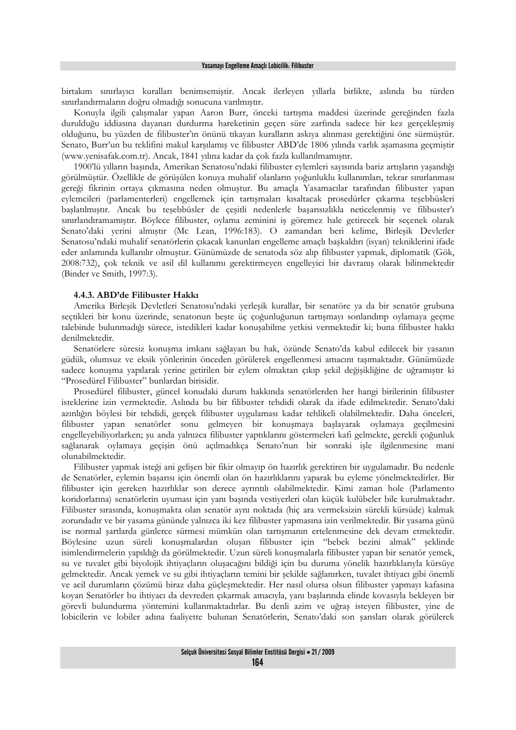birtakım sınırlayıcı kuralları benimsemiştir. Ancak ilerleyen yıllarla birlikte, aslında bu türden sınırlandırmaların doğru olmadığı sonucuna varılmıştır.

Konuyla ilgili çalışmalar yapan Aaron Burr, önceki tartışma maddesi üzerinde gereğinden fazla durulduğu iddiasına dayanan durdurma hareketinin geçen süre zarfında sadece bir kez gerçekleşmiş olduğunu, bu yüzden de filibuster'ın önünü tıkayan kuralların askıya alınması gerektiğini öne sürmüştür. Senato, Burr'un bu teklifini makul karşılamış ve filibuster ABD'de 1806 yılında varlık aşamasına geçmiştir (www.yenisafak.com.tr). Ancak, 1841 yılına kadar da çok fazla kullanılmamıştır.

1900'lü yılların başında, Amerikan Senatosu'ndaki filibuster eylemleri sayısında bariz artışların yaşandığı görülmüştür. Özellikle de görüşülen konuya muhalif olanların yoğunluklu kullanımları, tekrar sınırlanması gereği fikrinin ortaya çıkmasına neden olmuştur. Bu amaçla Yasamacılar tarafından filibuster yapan eylemcileri (parlamenterleri) engellemek için tartışmaları kısaltacak prosedürler çıkarma teşebbüsleri başlatılmıştır. Ancak bu teşebbüsler de çeşitli nedenlerle başarısızlıkla neticelenmiş ve filibuster'ı sınırlandıramamıştır. Böylece filibuster, oylama zeminini iş göremez hale getirecek bir seçenek olarak Senato'daki yerini almıştır (Mc Lean, 1996:183). O zamandan beri kelime, Birleşik Devletler Senatosu'ndaki muhalif senatörlerin çıkacak kanunları engelleme amaçlı başkaldırı (isyan) tekniklerini ifade eder anlamında kullanılır olmuştur. Günümüzde de senatoda söz alıp filibuster yapmak, diplomatik (Gök, 2008:732), çok teknik ve asil dil kullanımı gerektirmeyen engelleyici bir davranış olarak bilinmektedir (Binder ve Smith, 1997:3).

## **4.4.3. ABD'de Filibuster Hakkı**

Amerika Birleşik Devletleri Senatosu'ndaki yerleşik kurallar, bir senatöre ya da bir senatör grubuna seçtikleri bir konu üzerinde, senatonun beşte üç çoğunluğunun tartışmayı sonlandırıp oylamaya geçme talebinde bulunmadığı sürece, istedikleri kadar konuşabilme yetkisi vermektedir ki; buna filibuster hakkı denilmektedir.

Senatörlere süresiz konuşma imkanı sağlayan bu hak, özünde Senato'da kabul edilecek bir yasanın güdük, olumsuz ve eksik yönlerinin önceden görülerek engellenmesi amacını taşımaktadır. Günümüzde sadece konuşma yapılarak yerine getirilen bir eylem olmaktan çıkıp şekil değişikliğine de uğramıştır ki "Prosedürel Filibuster" bunlardan birisidir.

Prosedürel filibuster, güncel konudaki durum hakkında senatörlerden her hangi birilerinin filibuster isteklerine izin vermektedir. Aslında bu bir filibuster tehdidi olarak da ifade edilmektedir. Senato'daki azınlığın böylesi bir tehdidi, gerçek filibuster uygulaması kadar tehlikeli olabilmektedir. Daha önceleri, filibuster yapan senatörler sonu gelmeyen bir konuşmaya başlayarak oylamaya geçilmesini engelleyebiliyorlarken; şu anda yalnızca filibuster yaptıklarını göstermeleri kafi gelmekte, gerekli çoğunluk sağlanarak oylamaya geçişin önü açılmadıkça Senato'nun bir sonraki işle ilgilenmesine mani olunabilmektedir.

Filibuster yapmak isteği ani gelişen bir fikir olmayıp ön hazırlık gerektiren bir uygulamadır. Bu nedenle de Senatörler, eylemin başarısı için önemli olan ön hazırlıklarını yaparak bu eyleme yönelmektedirler. Bir filibuster için gereken hazırlıklar son derece ayrıntılı olabilmektedir. Kimi zaman hole (Parlamento koridorlarına) senatörlerin uyuması için yanı başında vestiyerleri olan küçük kulübeler bile kurulmaktadır. Filibuster sırasında, konuşmakta olan senatör aynı noktada (hiç ara vermeksizin sürekli kürsüde) kalmak zorundadır ve bir yasama gününde yalnızca iki kez filibuster yapmasına izin verilmektedir. Bir yasama günü ise normal şartlarda günlerce sürmesi mümkün olan tartışmanın ertelenmesine dek devam etmektedir. Böylesine uzun süreli konuşmalardan oluşan filibuster için "bebek bezini almak" şeklinde isimlendirmelerin yapıldığı da görülmektedir. Uzun süreli konuşmalarla filibuster yapan bir senatör yemek, su ve tuvalet gibi biyolojik ihtiyaçların oluşacağını bildiği için bu duruma yönelik hazırlıklarıyla kürsüye gelmektedir. Ancak yemek ve su gibi ihtiyaçların temini bir şekilde sağlanırken, tuvalet ihtiyacı gibi önemli ve acil durumların çözümü biraz daha güçleşmektedir. Her nasıl olursa olsun filibuster yapmayı kafasına koyan Senatörler bu ihtiyacı da devreden çıkarmak amacıyla, yanı başlarında elinde kovasıyla bekleyen bir görevli bulundurma yöntemini kullanmaktadırlar. Bu denli azim ve uğraş isteyen filibuster, yine de lobicilerin ve lobiler adına faaliyette bulunan Senatörlerin, Senato'daki son şansları olarak görülerek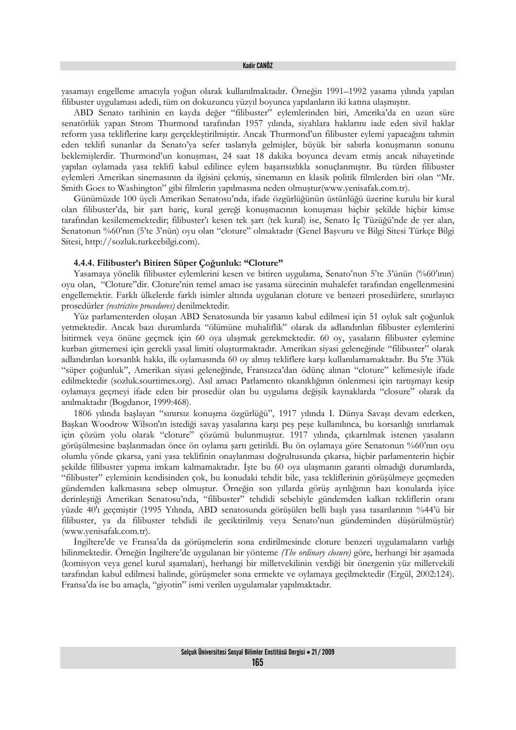yasamayı engelleme amacıyla yoğun olarak kullanılmaktadır. Örneğin 1991–1992 yasama yılında yapılan filibuster uygulaması adedi, tüm on dokuzuncu yüzyıl boyunca yapılanların iki katına ulaşmıştır.

ABD Senato tarihinin en kayda değer "filibuster" eylemlerinden biri, Amerika'da en uzun süre senatörlük yapan Strom Thurmond tarafından 1957 yılında, siyahlara haklarını iade eden sivil haklar reform yasa tekliflerine karşı gerçekleştirilmiştir. Ancak Thurmond'un filibuster eylemi yapacağını tahmin eden teklifi sunanlar da Senato'ya sefer taslarıyla gelmişler, büyük bir sabırla konuşmanın sonunu beklemişlerdir. Thurmond'un konuşması, 24 saat 18 dakika boyunca devam etmiş ancak nihayetinde yapılan oylamada yasa teklifi kabul edilince eylem başarısızlıkla sonuçlanmıştır. Bu türden filibuster eylemleri Amerikan sinemasının da ilgisini çekmiş, sinemanın en klasik politik filmlerden biri olan "Mr. Smith Goes to Washington" gibi filmlerin yapılmasına neden olmuştur(www.yenisafak.com.tr).

Günümüzde 100 üyeli Amerikan Senatosu'nda, ifade özgürlüğünün üstünlüğü üzerine kurulu bir kural olan filibuster'da, bir şart hariç, kural gereği konuşmacının konuşması hiçbir şekilde hiçbir kimse tarafından kesilememektedir; filibuster'ı kesen tek şart (tek kural) ise, Senato İç Tüzüğü'nde de yer alan, Senatonun %60'nın (5'te 3'nün) oyu olan "cloture" olmaktadır (Genel Başvuru ve Bilgi Sitesi Türkçe Bilgi Sitesi, http://sozluk.turkcebilgi.com).

### **4.4.4. Filibuster'ı Bitiren Süper Çoğunluk: "Cloture"**

Yasamaya yönelik filibuster eylemlerini kesen ve bitiren uygulama, Senato'nun 5'te 3'ünün (%60'ının) oyu olan, "Cloture"dir. Cloture'nin temel amacı ise yasama sürecinin muhalefet tarafından engellenmesini engellemektir. Farklı ülkelerde farklı isimler altında uygulanan cloture ve benzeri prosedürlere, sınırlayıcı prosedürler *(restrictive procedures)* denilmektedir.

Yüz parlamenterden oluşan ABD Senatosunda bir yasanın kabul edilmesi için 51 oyluk salt çoğunluk yetmektedir. Ancak bazı durumlarda "ölümüne muhaliflik" olarak da adlandırılan filibuster eylemlerini bitirmek veya önüne geçmek için 60 oya ulaşmak gerekmektedir. 60 oy, yasaların filibuster eylemine kurban gitmemesi için gerekli yasal limiti oluşturmaktadır. Amerikan siyasi geleneğinde "filibuster" olarak adlandırılan korsanlık hakkı, ilk oylamasında 60 oy almış tekliflere karşı kullanılamamaktadır. Bu 5'te 3'lük "süper çoğunluk", Amerikan siyasi geleneğinde, Fransızca'dan ödünç alınan "cloture" kelimesiyle ifade edilmektedir (sozluk.sourtimes.org). Asıl amacı Parlamento tıkanıklığının önlenmesi için tartışmayı kesip oylamaya geçmeyi ifade eden bir prosedür olan bu uygulama değişik kaynaklarda "closure" olarak da anılmaktadır (Bogdanor, 1999:468).

1806 yılında başlayan "sınırsız konuşma özgürlüğü", 1917 yılında I. Dünya Savaşı devam ederken, Başkan Woodrow Wilson'ın istediği savaş yasalarına karşı peş peşe kullanılınca, bu korsanlığı sınırlamak için çözüm yolu olarak "cloture" çözümü bulunmuştur. 1917 yılında, çıkartılmak istenen yasaların görüşülmesine başlanmadan önce ön oylama şartı getirildi. Bu ön oylamaya göre Senatonun %60'nın oyu olumlu yönde çıkarsa, yani yasa teklifinin onaylanması doğrultusunda çıkarsa, hiçbir parlamenterin hiçbir şekilde filibuster yapma imkanı kalmamaktadır. İşte bu 60 oya ulaşmanın garanti olmadığı durumlarda, "filibuster" eyleminin kendisinden çok, bu konudaki tehdit bile, yasa tekliflerinin görüşülmeye geçmeden gündemden kalkmasına sebep olmuştur. Örneğin son yıllarda görüş ayrılığının bazı konularda iyice derinleştiği Amerikan Senatosu'nda, "filibuster" tehdidi sebebiyle gündemden kalkan tekliflerin oranı yüzde 40'ı geçmiştir (1995 Yılında, ABD senatosunda görüşülen belli başlı yasa tasarılarının %44'ü bir filibuster, ya da filibuster tehdidi ile geciktirilmiş veya Senato'nun gündeminden düşürülmüştür) (www.yenisafak.com.tr).

İngiltere'de ve Fransa'da da görüşmelerin sona erdirilmesinde cloture benzeri uygulamaların varlığı bilinmektedir. Örneğin İngiltere'de uygulanan bir yönteme *(The ordinary closure)* göre, herhangi bir aşamada (komisyon veya genel kurul aşamaları), herhangi bir milletvekilinin verdiği bir önergenin yüz milletvekili tarafından kabul edilmesi halinde, görüşmeler sona ermekte ve oylamaya geçilmektedir (Ergül, 2002:124). Fransa'da ise bu amaçla, "giyotin" ismi verilen uygulamalar yapılmaktadır.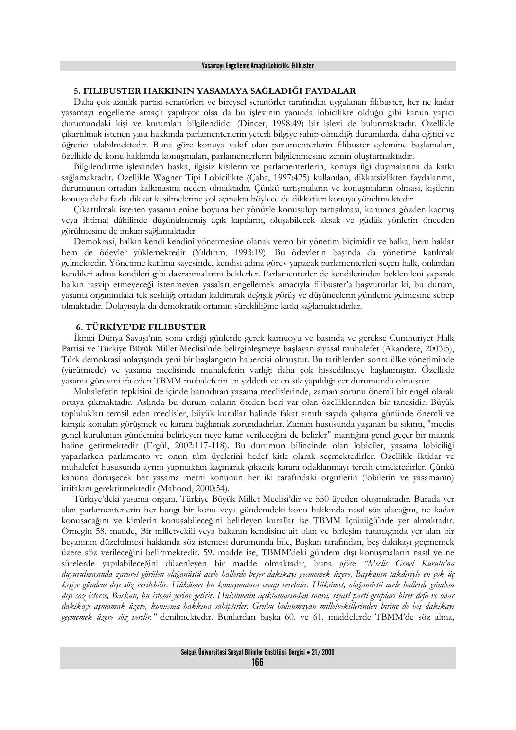# **5. FILIBUSTER HAKKININ YASAMAYA SAĞLADIĞI FAYDALAR**

Daha çok azınlık partisi senatörleri ve bireysel senatörler tarafından uygulanan filibuster, her ne kadar yasamayı engelleme amaçlı yapılıyor olsa da bu işlevinin yanında lobicilikte olduğu gibi kanun yapıcı durumundaki kişi ve kurumları bilgilendirici (Dincer, 1998:49) bir işlevi de bulunmaktadır. Özellikle çıkartılmak istenen yasa hakkında parlamenterlerin yeterli bilgiye sahip olmadığı durumlarda, daha eğitici ve öğretici olabilmektedir. Buna göre konuya vakıf olan parlamenterlerin filibuster eylemine başlamaları, özellikle de konu hakkında konuşmaları, parlamenterlerin bilgilenmesine zemin oluşturmaktadır.

Bilgilendirme işlevinden başka, ilgisiz kişilerin ve parlamenterlerin, konuya ilgi duymalarına da katkı sağlamaktadır. Özellikle Wagner Tipi Lobicilikte (Çaha, 1997:425) kullanılan, dikkatsizlikten faydalanma, durumunun ortadan kalkmasına neden olmaktadır. Çünkü tartışmaların ve konuşmaların olması, kişilerin konuya daha fazla dikkat kesilmelerine yol açmakta böylece de dikkatleri konuya yöneltmektedir.

Çıkartılmak istenen yasanın enine boyuna her yönüyle konuşulup tartışılması, kanunda gözden kaçmış veya ihtimal dâhilinde düşünülmemiş açık kapıların, oluşabilecek aksak ve güdük yönlerin önceden görülmesine de imkan sağlamaktadır.

Demokrasi, halkın kendi kendini yönetmesine olanak veren bir yönetim biçimidir ve halka, hem haklar hem de ödevler yüklemektedir (Yıldırım, 1993:19). Bu ödevlerin başında da yönetime katılmak gelmektedir. Yönetime katılma sayesinde, kendisi adına görev yapacak parlamenterleri seçen halk, onlardan kendileri adına kendileri gibi davranmalarını beklerler. Parlamenterler de kendilerinden beklenileni yaparak halkın tasvip etmeyeceği istenmeyen yasaları engellemek amacıyla filibuster'a başvururlar ki; bu durum, yasama organındaki tek sesliliği ortadan kaldırarak değişik görüş ve düşüncelerin gündeme gelmesine sebep olmaktadır. Dolayısıyla da demokratik ortamın sürekliliğine katkı sağlamaktadırlar.

## **6. TÜRKİYE'DE FILIBUSTER**

İkinci Dünya Savaşı'nın sona erdiği günlerde gerek kamuoyu ve basında ve gerekse Cumhuriyet Halk Partisi ve Türkiye Büyük Millet Meclisi'nde belirginleşmeye başlayan siyasal muhalefet (Akandere, 2003:5), Türk demokrasi anlayışında yeni bir başlangıcın habercisi olmuştur. Bu tarihlerden sonra ülke yönetiminde (yürütmede) ve yasama meclisinde muhalefetin varlığı daha çok hissedilmeye başlanmıştır. Özellikle yasama görevini ifa eden TBMM muhalefetin en şiddetli ve en sık yapıldığı yer durumunda olmuştur.

Muhalefetin tepkisini de içinde barındıran yasama meclislerinde, zaman sorunu önemli bir engel olarak ortaya çıkmaktadır. Aslında bu durum onların öteden beri var olan özelliklerinden bir tanesidir. Büyük toplulukları temsil eden meclisler, büyük kurullar halinde fakat sınırlı sayıda çalışma gününde önemli ve karışık konuları görüşmek ve karara bağlamak zorundadırlar. Zaman hususunda yaşanan bu sıkıntı, "meclis genel kurulunun gündemini belirleyen neye karar verileceğini de belirler" mantığını genel geçer bir mantık haline getirmektedir (Ergül, 2002:117-118). Bu durumun bilincinde olan lobiciler, yasama lobiciliği yaparlarken parlamento ve onun tüm üyelerini hedef kitle olarak seçmektedirler. Özellikle iktidar ve muhalefet hususunda ayrım yapmaktan kaçınarak çıkacak karara odaklanmayı tercih etmektedirler. Çünkü kanuna dönüşecek her yasama metni konunun her iki tarafındaki örgütlerin (lobilerin ve yasamanın) ittifakını gerektirmektedir (Mahood, 2000:54).

Türkiye'deki yasama organı, Türkiye Büyük Millet Meclisi'dir ve 550 üyeden oluşmaktadır. Burada yer alan parlamenterlerin her hangi bir konu veya gündemdeki konu hakkında nasıl söz alacağını, ne kadar konuşacağını ve kimlerin konuşabileceğini belirleyen kurallar ise TBMM İçtüzüğü'nde yer almaktadır. Örneğin 58. madde, Bir milletvekili veya bakanın kendisine ait olan ve birleşim tutanağında yer alan bir beyanının düzeltilmesi hakkında söz istemesi durumunda bile, Başkan tarafından, beş dakikayı geçmemek üzere söz verileceğini belirtmektedir. 59. madde ise, TBMM'deki gündem dışı konuşmaların nasıl ve ne sürelerde yapılabileceğini düzenleyen bir madde olmaktadır, buna göre *"Meclis Genel Kurulu'na duyurulmasında zaruret görülen olağanüstü acele hallerde beşer dakikayı geçmemek üzere, Başkanın takdiriyle en çok üç kişiye gündem dışı söz verilebilir. Hükümet bu konuşmalara cevap verebilir. Hükümet, olağanüstü acele hallerde gündem dışı söz isterse, Başkan, bu istemi yerine getirir. Hükümetin açıklamasından sonra, siyasî parti grupları birer defa ve onar dakikayı aşmamak üzere, konuşma hakkına sahiptirler. Grubu bulunmayan milletvekillerinden birine de beş dakikayı geçmemek üzere söz verilir."* denilmektedir. Bunlardan başka 60. ve 61. maddelerde TBMM'de söz alma,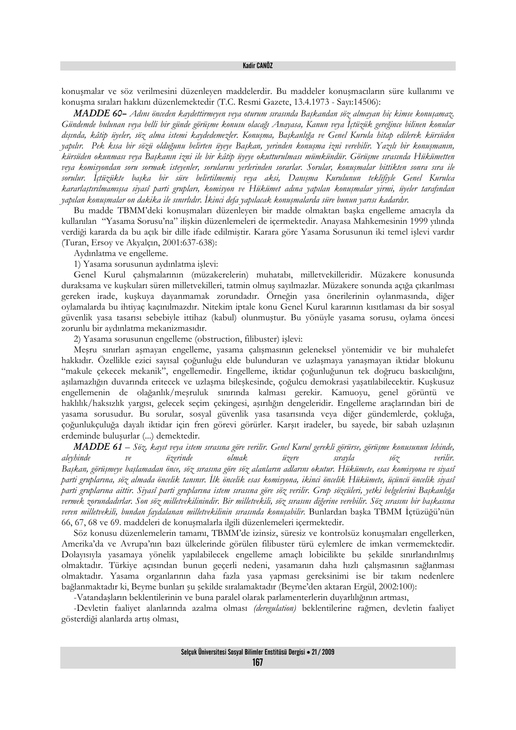konuşmalar ve söz verilmesini düzenleyen maddelerdir. Bu maddeler konuşmacıların süre kullanımı ve konuşma sıraları hakkını düzenlemektedir (T.C. Resmi Gazete, 13.4.1973 - Sayı:14506):

*MADDE 60– Adını önceden kaydettirmeyen veya oturum sırasında Başkandan söz almayan hiç kimse konuşamaz. Gündemde bulunan veya belli bir günde görüşme konusu olacağı Anayasa, Kanun veya İçtüzük gereğince bilinen konular dışında, kâtip üyeler, söz alma istemi kaydedemezler. Konuşma, Başkanlığa ve Genel Kurula hitap edilerek kürsüden yapılır. Pek kısa bir sözü olduğunu belirten üyeye Başkan, yerinden konuşma izni verebilir. Yazılı bir konuşmanın, kürsüden okunması veya Başkanın izni ile bir kâtip üyeye okutturulması mümkündür. Görüşme sırasında Hükümetten veya komisyondan soru sormak isteyenler, sorularını yerlerinden sorarlar. Sorular, konuşmalar bittikten sonra sıra ile sorulur. İçtüzükte başka bir süre belirtilmemiş veya aksi, Danışma Kurulunun teklifiyle Genel Kurulca kararlaştırılmamışsa siyasî parti grupları, komisyon ve Hükümet adına yapılan konuşmalar yirmi, üyeler tarafından yapılan konuşmalar on dakika ile sınırlıdır. İkinci defa yapılacak konuşmalarda süre bunun yarısı kadardır.*

Bu madde TBMM'deki konuşmaları düzenleyen bir madde olmaktan başka engelleme amacıyla da kullanılan "Yasama Sorusu'na" ilişkin düzenlemeleri de içermektedir. Anayasa Mahkemesinin 1999 yılında verdiği kararda da bu açık bir dille ifade edilmiştir. Karara göre Yasama Sorusunun iki temel işlevi vardır (Turan, Ersoy ve Akyalçın, 2001:637-638):

Aydınlatma ve engelleme.

1) Yasama sorusunun aydınlatma işlevi:

Genel Kurul çalışmalarının (müzakerelerin) muhatabı, milletvekilleridir. Müzakere konusunda duraksama ve kuşkuları süren milletvekilleri, tatmin olmuş sayılmazlar. Müzakere sonunda açığa çıkarılması gereken irade, kuşkuya dayanmamak zorundadır. Örneğin yasa önerilerinin oylanmasında, diğer oylamalarda bu ihtiyaç kaçınılmazdır. Nitekim iptale konu Genel Kurul kararının kısıtlaması da bir sosyal güvenlik yasa tasarısı sebebiyle ittihaz (kabul) olunmuştur. Bu yönüyle yasama sorusu, oylama öncesi zorunlu bir aydınlatma mekanizmasıdır.

2) Yasama sorusunun engelleme (obstruction, filibuster) işlevi:

Meşru sınırları aşmayan engelleme, yasama çalışmasının geleneksel yöntemidir ve bir muhalefet hakkıdır. Özellikle ezici sayısal çoğunluğu elde bulunduran ve uzlaşmaya yanaşmayan iktidar blokunu "makule çekecek mekanik", engellemedir. Engelleme, iktidar çoğunluğunun tek doğrucu baskıcılığını, aşılamazlığın duvarında eritecek ve uzlaşma bileşkesinde, çoğulcu demokrasi yaşatılabilecektir. Kuşkusuz engellemenin de olağanlık/meşruluk sınırında kalması gerekir. Kamuoyu, genel görüntü ve haklılık/haksızlık yargısı, gelecek seçim çekingesi, aşırılığın dengeleridir. Engelleme araçlarından biri de yasama sorusudur. Bu sorular, sosyal güvenlik yasa tasarısında veya diğer gündemlerde, çokluğa, çoğunlukçuluğa dayalı iktidar için fren görevi görürler. Karşıt iradeler, bu sayede, bir sabah uzlaşının erdeminde buluşurlar (...) demektedir.

*MADDE 61 – Söz, kayıt veya istem sırasına göre verilir. Genel Kurul gerekli görürse, görüşme konusunun lehinde, aleyhinde ve üzerinde olmak üzere sırayla söz verilir. Başkan, görüşmeye başlamadan önce, söz sırasına göre söz alanların adlarını okutur. Hükümete, esas komisyona ve siyasî parti gruplarına, söz almada öncelik tanınır. İlk öncelik esas komisyona, ikinci öncelik Hükümete, üçüncü öncelik siyasî parti gruplarına aittir. Siyasî parti gruplarına istem sırasına göre söz verilir. Grup sözcüleri, yetki belgelerini Başkanlığa vermek zorundadırlar. Son söz milletvekilinindir. Bir milletvekili, söz sırasını diğerine verebilir. Söz sırasını bir başkasına veren milletvekili, bundan faydalanan milletvekilinin sırasında konuşabilir.* Bunlardan başka TBMM İçtüzüğü'nün 66, 67, 68 ve 69. maddeleri de konuşmalarla ilgili düzenlemeleri içermektedir.

Söz konusu düzenlemelerin tamamı, TBMM'de izinsiz, süresiz ve kontrolsüz konuşmaları engellerken, Amerika'da ve Avrupa'nın bazı ülkelerinde görülen filibuster türü eylemlere de imkan vermemektedir. Dolayısıyla yasamaya yönelik yapılabilecek engelleme amaçlı lobicilikte bu şekilde sınırlandırılmış olmaktadır. Türkiye açısından bunun geçerli nedeni, yasamanın daha hızlı çalışmasının sağlanması olmaktadır. Yasama organlarının daha fazla yasa yapması gereksinimi ise bir takım nedenlere bağlanmaktadır ki, Beyme bunları şu şekilde sıralamaktadır (Beyme'den aktaran Ergül, 2002:100):

-Vatandaşların beklentilerinin ve buna paralel olarak parlamenterlerin duyarlılığının artması,

-Devletin faaliyet alanlarında azalma olması *(deregulation)* beklentilerine rağmen, devletin faaliyet gösterdiği alanlarda artış olması,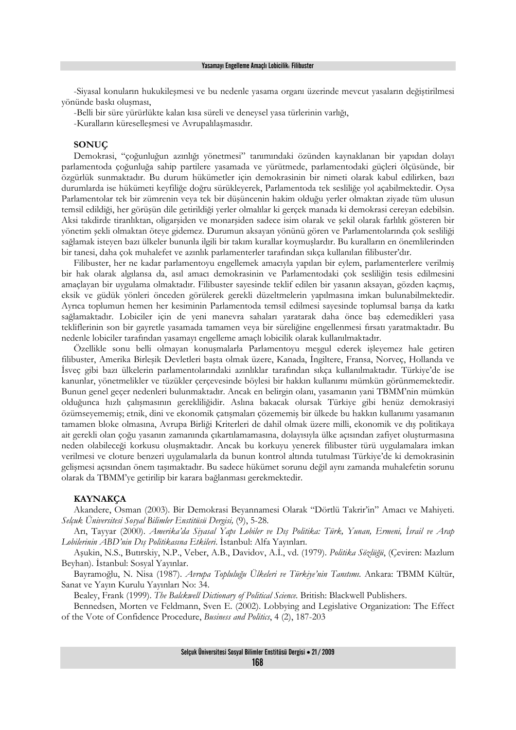-Siyasal konuların hukukileşmesi ve bu nedenle yasama organı üzerinde mevcut yasaların değiştirilmesi yönünde baskı oluşması,

-Belli bir süre yürürlükte kalan kısa süreli ve deneysel yasa türlerinin varlığı,

-Kuralların küreselleşmesi ve Avrupalılaşmasıdır.

#### **SONUÇ**

Demokrasi, "çoğunluğun azınlığı yönetmesi" tanımındaki özünden kaynaklanan bir yapıdan dolayı parlamentoda çoğunluğa sahip partilere yasamada ve yürütmede, parlamentodaki güçleri ölçüsünde, bir özgürlük sunmaktadır. Bu durum hükümetler için demokrasinin bir nimeti olarak kabul edilirken, bazı durumlarda ise hükümeti keyfiliğe doğru sürükleyerek, Parlamentoda tek sesliliğe yol açabilmektedir. Oysa Parlamentolar tek bir zümrenin veya tek bir düşüncenin hakim olduğu yerler olmaktan ziyade tüm ulusun temsil edildiği, her görüşün dile getirildiği yerler olmalılar ki gerçek manada ki demokrasi cereyan edebilsin. Aksi takdirde tiranlıktan, oligarşiden ve monarşiden sadece isim olarak ve şekil olarak farlılık gösteren bir yönetim şekli olmaktan öteye gidemez. Durumun aksayan yönünü gören ve Parlamentolarında çok sesliliği sağlamak isteyen bazı ülkeler bununla ilgili bir takım kurallar koymuşlardır. Bu kuralların en önemlilerinden bir tanesi, daha çok muhalefet ve azınlık parlamenterler tarafından sıkça kullanılan filibuster'dır.

Filibuster, her ne kadar parlamentoyu engellemek amacıyla yapılan bir eylem, parlamenterlere verilmiş bir hak olarak algılansa da, asıl amacı demokrasinin ve Parlamentodaki çok sesliliğin tesis edilmesini amaçlayan bir uygulama olmaktadır. Filibuster sayesinde teklif edilen bir yasanın aksayan, gözden kaçmış, eksik ve güdük yönleri önceden görülerek gerekli düzeltmelerin yapılmasına imkan bulunabilmektedir. Ayrıca toplumun hemen her kesiminin Parlamentoda temsil edilmesi sayesinde toplumsal barışa da katkı sağlamaktadır. Lobiciler için de yeni manevra sahaları yaratarak daha önce baş edemedikleri yasa tekliflerinin son bir gayretle yasamada tamamen veya bir süreliğine engellenmesi fırsatı yaratmaktadır. Bu nedenle lobiciler tarafından yasamayı engelleme amaçlı lobicilik olarak kullanılmaktadır.

Özellikle sonu belli olmayan konuşmalarla Parlamentoyu meşgul ederek işleyemez hale getiren filibuster, Amerika Birleşik Devletleri başta olmak üzere, Kanada, İngiltere, Fransa, Norveç, Hollanda ve İsveç gibi bazı ülkelerin parlamentolarındaki azınlıklar tarafından sıkça kullanılmaktadır. Türkiye'de ise kanunlar, yönetmelikler ve tüzükler çerçevesinde böylesi bir hakkın kullanımı mümkün görünmemektedir. Bunun genel geçer nedenleri bulunmaktadır. Ancak en belirgin olanı, yasamanın yani TBMM'nin mümkün olduğunca hızlı çalışmasının gerekliliğidir. Aslına bakacak olursak Türkiye gibi henüz demokrasiyi özümseyememiş; etnik, dini ve ekonomik çatışmaları çözememiş bir ülkede bu hakkın kullanımı yasamanın tamamen bloke olmasına, Avrupa Birliği Kriterleri de dahil olmak üzere milli, ekonomik ve dış politikaya ait gerekli olan çoğu yasanın zamanında çıkartılamamasına, dolayısıyla ülke açısından zafiyet oluşturmasına neden olabileceği korkusu oluşmaktadır. Ancak bu korkuyu yenerek filibuster türü uygulamalara imkan verilmesi ve cloture benzeri uygulamalarla da bunun kontrol altında tutulması Türkiye'de ki demokrasinin gelişmesi açısından önem taşımaktadır. Bu sadece hükümet sorunu değil aynı zamanda muhalefetin sorunu olarak da TBMM'ye getirilip bir karara bağlanması gerekmektedir.

## **KAYNAKÇA**

Akandere, Osman (2003). Bir Demokrasi Beyannamesi Olarak "Dörtlü Takrir'in" Amacı ve Mahiyeti. *Selçuk Üniversitesi Sosyal Bilimler Enstitüsü Dergisi,* (9), 5-28.

Arı, Tayyar (2000). *Amerika'da Siyasal Yapı Lobiler ve Dış Politika: Türk, Yunan, Ermeni, İsrail ve Arap Lobilerinin ABD'nin Dış Politikasına Etkileri*. İstanbul: Alfa Yayınları.

Aşukin, N.S., Butırskiy, N.P., Veber, A.B., Davidov, A.İ., vd. (1979). *Politika Sözlüğü*, (Çeviren: Mazlum Beyhan). İstanbul: Sosyal Yayınlar.

Bayramoğlu, N. Nisa (1987). *Avrupa Topluluğu Ülkeleri ve Türkiye'nin Tanıtımı*. Ankara: TBMM Kültür, Sanat ve Yayın Kurulu Yayınları No: 34.

Bealey, Frank (1999). *The Balckwell Dictionary of Political Science*. British: Blackwell Publishers.

Bennedsen, Morten ve Feldmann, Sven E. (2002). Lobbying and Legislative Organization: The Effect of the Vote of Confidence Procedure, *Business and Politics*, 4 (2), 187-203